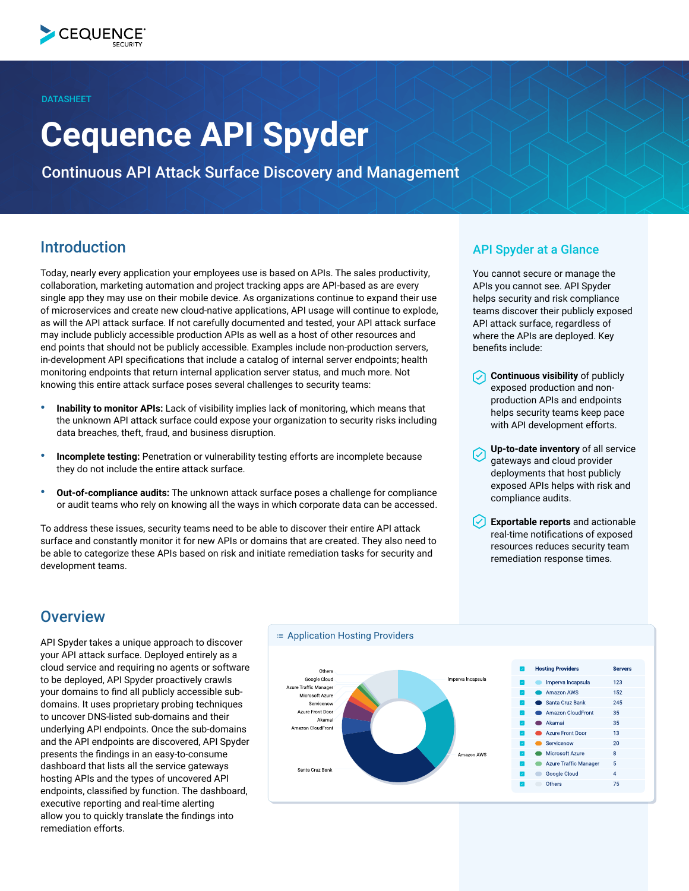**DATASHEET** 

# **Cequence API Spyder**

Continuous API Attack Surface Discovery and Management

# Introduction

Today, nearly every application your employees use is based on APIs. The sales productivity, collaboration, marketing automation and project tracking apps are API-based as are every single app they may use on their mobile device. As organizations continue to expand their use of microservices and create new cloud-native applications, API usage will continue to explode, as will the API attack surface. If not carefully documented and tested, your API attack surface may include publicly accessible production APIs as well as a host of other resources and end points that should not be publicly accessible. Examples include non-production servers, in-development API specifications that include a catalog of internal server endpoints; health monitoring endpoints that return internal application server status, and much more. Not knowing this entire attack surface poses several challenges to security teams:

- **Inability to monitor APIs:** Lack of visibility implies lack of monitoring, which means that the unknown API attack surface could expose your organization to security risks including data breaches, theft, fraud, and business disruption.
- **Incomplete testing:** Penetration or vulnerability testing efforts are incomplete because they do not include the entire attack surface.
- **Out-of-compliance audits:** The unknown attack surface poses a challenge for compliance or audit teams who rely on knowing all the ways in which corporate data can be accessed.

To address these issues, security teams need to be able to discover their entire API attack surface and constantly monitor it for new APIs or domains that are created. They also need to be able to categorize these APIs based on risk and initiate remediation tasks for security and development teams.

#### API Spyder at a Glance

You cannot secure or manage the APIs you cannot see. API Spyder helps security and risk compliance teams discover their publicly exposed API attack surface, regardless of where the APIs are deployed. Key benefits include:

- **Continuous visibility** of publicly exposed production and nonproduction APIs and endpoints helps security teams keep pace with API development efforts.
- **Up-to-date inventory** of all service gateways and cloud provider deployments that host publicly exposed APIs helps with risk and compliance audits.
- **Exportable reports** and actionable real-time notifications of exposed resources reduces security team remediation response times.

# **Overview**

API Spyder takes a unique approach to discover your API attack surface. Deployed entirely as a cloud service and requiring no agents or software to be deployed, API Spyder proactively crawls your domains to find all publicly accessible subdomains. It uses proprietary probing techniques to uncover DNS-listed sub-domains and their underlying API endpoints. Once the sub-domains and the API endpoints are discovered, API Spyder presents the findings in an easy-to-consume dashboard that lists all the service gateways hosting APIs and the types of uncovered API endpoints, classified by function. The dashboard, executive reporting and real-time alerting allow you to quickly translate the findings into remediation efforts.